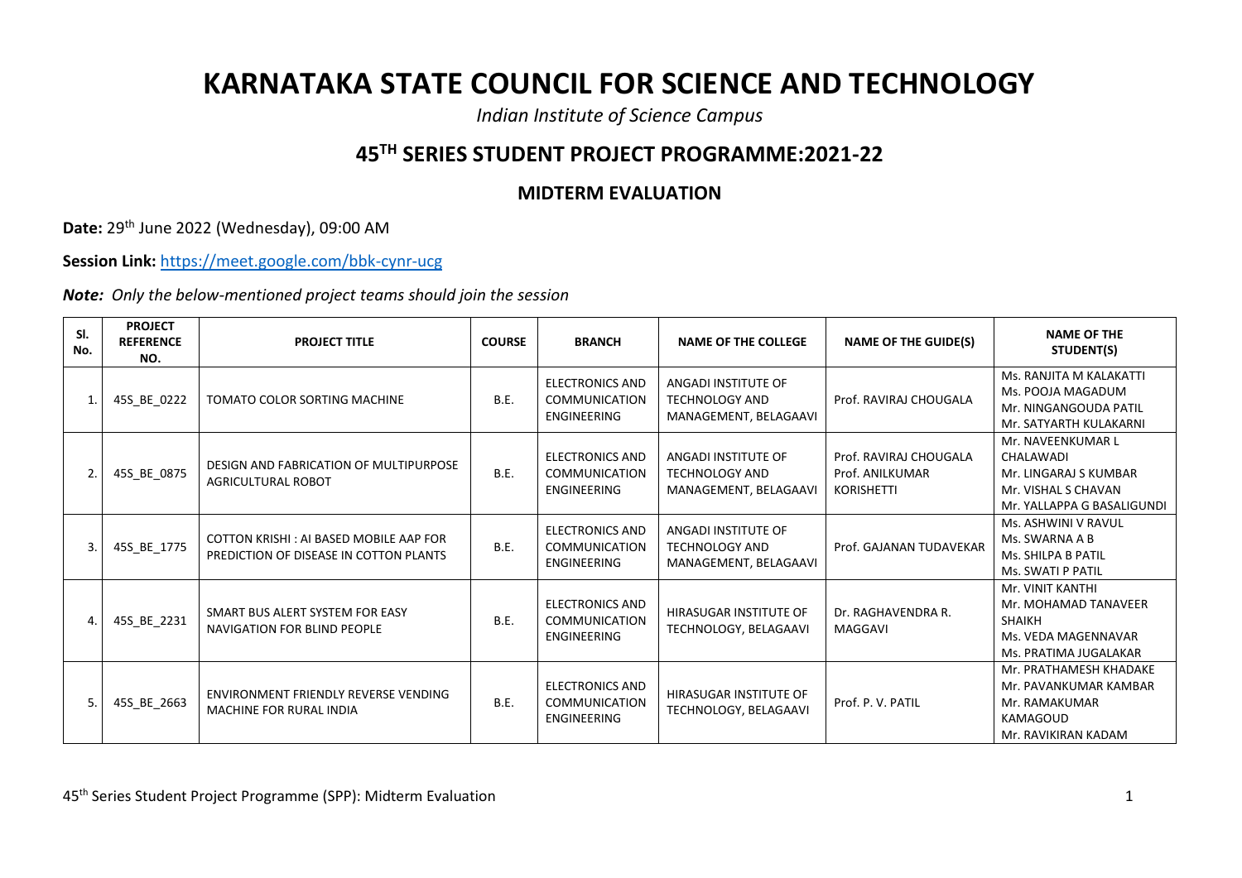## **KARNATAKA STATE COUNCIL FOR SCIENCE AND TECHNOLOGY**

*Indian Institute of Science Campus*

## **45TH SERIES STUDENT PROJECT PROGRAMME:2021-22**

## **MIDTERM EVALUATION**

**Date:** 29th June 2022 (Wednesday), 09:00 AM

**Session Link:** <https://meet.google.com/bbk-cynr-ucg>

*Note: Only the below-mentioned project teams should join the session*

| SI.<br>No. | <b>PROJECT</b><br><b>REFERENCE</b><br>NO. | <b>PROJECT TITLE</b>                                                             | <b>COURSE</b> | <b>BRANCH</b>                                                        | <b>NAME OF THE COLLEGE</b>                                            | <b>NAME OF THE GUIDE(S)</b>                                    | <b>NAME OF THE</b><br>STUDENT(S)                                                                             |
|------------|-------------------------------------------|----------------------------------------------------------------------------------|---------------|----------------------------------------------------------------------|-----------------------------------------------------------------------|----------------------------------------------------------------|--------------------------------------------------------------------------------------------------------------|
|            | 45S_BE_0222                               | TOMATO COLOR SORTING MACHINE                                                     | B.E.          | <b>ELECTRONICS AND</b><br><b>COMMUNICATION</b><br>ENGINEERING        | ANGADI INSTITUTE OF<br><b>TECHNOLOGY AND</b><br>MANAGEMENT, BELAGAAVI | Prof. RAVIRAJ CHOUGALA                                         | Ms. RANJITA M KALAKATTI<br>Ms. POOJA MAGADUM<br>Mr. NINGANGOUDA PATIL<br>Mr. SATYARTH KULAKARNI              |
|            | 45S_BE_0875                               | DESIGN AND FABRICATION OF MULTIPURPOSE<br><b>AGRICULTURAL ROBOT</b>              | B.E.          | <b>ELECTRONICS AND</b><br><b>COMMUNICATION</b><br>ENGINEERING        | ANGADI INSTITUTE OF<br><b>TECHNOLOGY AND</b><br>MANAGEMENT, BELAGAAVI | Prof. RAVIRAJ CHOUGALA<br>Prof. ANILKUMAR<br><b>KORISHETTI</b> | Mr. NAVEENKUMAR L<br>CHALAWADI<br>Mr. LINGARAJ S KUMBAR<br>Mr. VISHAL S CHAVAN<br>Mr. YALLAPPA G BASALIGUNDI |
|            | 45S_BE_1775                               | COTTON KRISHI: AI BASED MOBILE AAP FOR<br>PREDICTION OF DISEASE IN COTTON PLANTS | B.E.          | <b>ELECTRONICS AND</b><br><b>COMMUNICATION</b><br><b>ENGINEERING</b> | ANGADI INSTITUTE OF<br><b>TECHNOLOGY AND</b><br>MANAGEMENT, BELAGAAVI | Prof. GAJANAN TUDAVEKAR                                        | Ms. ASHWINI V RAVUL<br>Ms. SWARNA A B<br>Ms. SHILPA B PATIL<br>Ms. SWATI P PATIL                             |
|            | 45S BE 2231                               | SMART BUS ALERT SYSTEM FOR EASY<br>NAVIGATION FOR BLIND PEOPLE                   | B.E.          | <b>ELECTRONICS AND</b><br><b>COMMUNICATION</b><br><b>ENGINEERING</b> | HIRASUGAR INSTITUTE OF<br>TECHNOLOGY, BELAGAAVI                       | Dr. RAGHAVENDRA R.<br>MAGGAVI                                  | Mr. VINIT KANTHI<br>Mr. MOHAMAD TANAVEER<br><b>SHAIKH</b><br>Ms. VEDA MAGENNAVAR<br>Ms. PRATIMA JUGALAKAR    |
|            | 45S BE 2663                               | ENVIRONMENT FRIENDLY REVERSE VENDING<br><b>MACHINE FOR RURAL INDIA</b>           | B.E.          | <b>ELECTRONICS AND</b><br><b>COMMUNICATION</b><br><b>ENGINEERING</b> | HIRASUGAR INSTITUTE OF<br>TECHNOLOGY, BELAGAAVI                       | Prof. P. V. PATIL                                              | Mr. PRATHAMESH KHADAKE<br>Mr. PAVANKUMAR KAMBAR<br>Mr. RAMAKUMAR<br><b>KAMAGOUD</b><br>Mr. RAVIKIRAN KADAM   |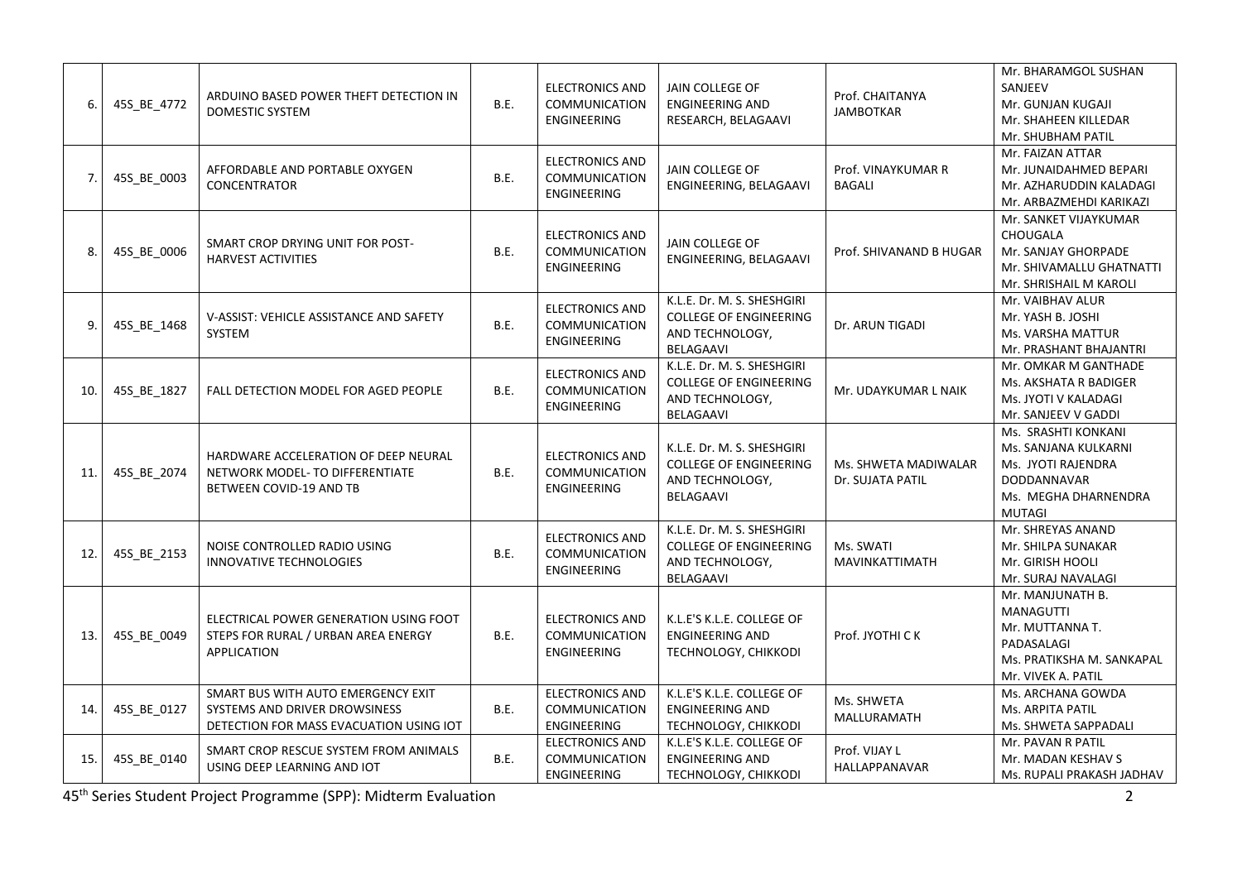| 6.  | 45S BE 4772 | ARDUINO BASED POWER THEFT DETECTION IN<br><b>DOMESTIC SYSTEM</b>                                               | B.E.        | <b>ELECTRONICS AND</b><br><b>COMMUNICATION</b><br>ENGINEERING | <b>JAIN COLLEGE OF</b><br><b>ENGINEERING AND</b><br>RESEARCH, BELAGAAVI                     | Prof. CHAITANYA<br><b>JAMBOTKAR</b>      | Mr. BHARAMGOL SUSHAN<br>SANJEEV<br>Mr. GUNJAN KUGAJI<br>Mr. SHAHEEN KILLEDAR<br>Mr. SHUBHAM PATIL                         |
|-----|-------------|----------------------------------------------------------------------------------------------------------------|-------------|---------------------------------------------------------------|---------------------------------------------------------------------------------------------|------------------------------------------|---------------------------------------------------------------------------------------------------------------------------|
| 7.  | 45S_BE_0003 | AFFORDABLE AND PORTABLE OXYGEN<br><b>CONCENTRATOR</b>                                                          | B.E.        | <b>ELECTRONICS AND</b><br>COMMUNICATION<br>ENGINEERING        | JAIN COLLEGE OF<br>ENGINEERING, BELAGAAVI                                                   | Prof. VINAYKUMAR R<br><b>BAGALI</b>      | Mr. FAIZAN ATTAR<br>Mr. JUNAIDAHMED BEPARI<br>Mr. AZHARUDDIN KALADAGI<br>Mr. ARBAZMEHDI KARIKAZI                          |
| 8.  | 45S BE 0006 | SMART CROP DRYING UNIT FOR POST-<br><b>HARVEST ACTIVITIES</b>                                                  | <b>B.E.</b> | <b>ELECTRONICS AND</b><br><b>COMMUNICATION</b><br>ENGINEERING | <b>JAIN COLLEGE OF</b><br>ENGINEERING, BELAGAAVI                                            | Prof. SHIVANAND B HUGAR                  | Mr. SANKET VIJAYKUMAR<br>CHOUGALA<br>Mr. SANJAY GHORPADE<br>Mr. SHIVAMALLU GHATNATTI<br>Mr. SHRISHAIL M KAROLI            |
| 9   | 45S BE 1468 | V-ASSIST: VEHICLE ASSISTANCE AND SAFETY<br>SYSTEM                                                              | <b>B.E.</b> | <b>ELECTRONICS AND</b><br><b>COMMUNICATION</b><br>ENGINEERING | K.L.E. Dr. M. S. SHESHGIRI<br><b>COLLEGE OF ENGINEERING</b><br>AND TECHNOLOGY,<br>BELAGAAVI | Dr. ARUN TIGADI                          | Mr. VAIBHAV ALUR<br>Mr. YASH B. JOSHI<br>Ms. VARSHA MATTUR<br>Mr. PRASHANT BHAJANTRI                                      |
| 10. | 45S_BE_1827 | FALL DETECTION MODEL FOR AGED PEOPLE                                                                           | <b>B.E.</b> | <b>ELECTRONICS AND</b><br><b>COMMUNICATION</b><br>ENGINEERING | K.L.E. Dr. M. S. SHESHGIRI<br><b>COLLEGE OF ENGINEERING</b><br>AND TECHNOLOGY,<br>BELAGAAVI | Mr. UDAYKUMAR L NAIK                     | Mr. OMKAR M GANTHADE<br>Ms. AKSHATA R BADIGER<br>Ms. JYOTI V KALADAGI<br>Mr. SANJEEV V GADDI                              |
| 11  | 45S_BE_2074 | HARDWARE ACCELERATION OF DEEP NEURAL<br>NETWORK MODEL- TO DIFFERENTIATE<br><b>BETWEEN COVID-19 AND TB</b>      | <b>B.E.</b> | <b>ELECTRONICS AND</b><br>COMMUNICATION<br><b>ENGINEERING</b> | K.L.E. Dr. M. S. SHESHGIRI<br><b>COLLEGE OF ENGINEERING</b><br>AND TECHNOLOGY,<br>BELAGAAVI | Ms. SHWETA MADIWALAR<br>Dr. SUJATA PATIL | Ms. SRASHTI KONKANI<br>Ms. SANJANA KULKARNI<br>Ms. JYOTI RAJENDRA<br>DODDANNAVAR<br>Ms. MEGHA DHARNENDRA<br><b>MUTAGI</b> |
| 12. | 45S_BE_2153 | NOISE CONTROLLED RADIO USING<br><b>INNOVATIVE TECHNOLOGIES</b>                                                 | B.E.        | <b>ELECTRONICS AND</b><br>COMMUNICATION<br><b>ENGINEERING</b> | K.L.E. Dr. M. S. SHESHGIRI<br><b>COLLEGE OF ENGINEERING</b><br>AND TECHNOLOGY,<br>BELAGAAVI | Ms. SWATI<br>MAVINKATTIMATH              | Mr. SHREYAS ANAND<br>Mr. SHILPA SUNAKAR<br>Mr. GIRISH HOOLI<br>Mr. SURAJ NAVALAGI                                         |
| 13. | 45S BE 0049 | ELECTRICAL POWER GENERATION USING FOOT<br>STEPS FOR RURAL / URBAN AREA ENERGY<br><b>APPLICATION</b>            | B.E.        | <b>ELECTRONICS AND</b><br><b>COMMUNICATION</b><br>ENGINEERING | K.L.E'S K.L.E. COLLEGE OF<br><b>ENGINEERING AND</b><br>TECHNOLOGY, CHIKKODI                 | Prof. JYOTHI CK                          | Mr. MANJUNATH B.<br><b>MANAGUTTI</b><br>Mr. MUTTANNA T.<br>PADASALAGI<br>Ms. PRATIKSHA M. SANKAPAL<br>Mr. VIVEK A. PATIL  |
| 14. | 45S_BE_0127 | SMART BUS WITH AUTO EMERGENCY EXIT<br>SYSTEMS AND DRIVER DROWSINESS<br>DETECTION FOR MASS EVACUATION USING IOT | <b>B.E.</b> | <b>ELECTRONICS AND</b><br><b>COMMUNICATION</b><br>ENGINEERING | K.L.E'S K.L.E. COLLEGE OF<br><b>ENGINEERING AND</b><br>TECHNOLOGY, CHIKKODI                 | Ms. SHWETA<br>MALLURAMATH                | Ms. ARCHANA GOWDA<br>Ms. ARPITA PATIL<br>Ms. SHWETA SAPPADALI                                                             |
| 15. | 45S_BE_0140 | SMART CROP RESCUE SYSTEM FROM ANIMALS<br>USING DEEP LEARNING AND IOT                                           | B.E.        | <b>ELECTRONICS AND</b><br>COMMUNICATION<br>ENGINEERING        | K.L.E'S K.L.E. COLLEGE OF<br><b>ENGINEERING AND</b><br>TECHNOLOGY, CHIKKODI                 | Prof. VIJAY L<br>HALLAPPANAVAR           | Mr. PAVAN R PATIL<br>Mr. MADAN KESHAV S<br>Ms. RUPALI PRAKASH JADHAV                                                      |

45th Series Student Project Programme (SPP): Midterm Evaluation 2